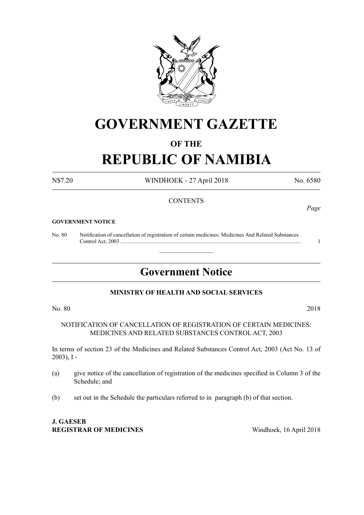

## **GOVERNMENT GAZETTE**

### **OF THE**

# **REPUBLIC OF NAMIBIA**

N\$7.20 WINDHOEK - 27 April 2018 No. 6580

#### **CONTENTS**

#### **GOVERNMENT NOTICE**

No. 80 Notification of cancellation of registration of certain medicines: Medicines And Related Substances Control Act, 2003 ................................................................................................................................... 1

### **Government Notice**

 $\overline{\phantom{a}}$  , where  $\overline{\phantom{a}}$ 

#### **MINISTRY OF HEALTH AND SOCIAL SERVICES**

No. 80 2018

NOTIFICATION OF CANCELLATION OF REGISTRATION OF CERTAIN MEDICINES: MEDICINES AND RELATED SUBSTANCES CONTROL ACT, 2003

In terms of section 23 of the Medicines and Related Substances Control Act, 2003 (Act No. 13 of 2003), I -

- (a) give notice of the cancellation of registration of the medicines specified in Column 3 of the Schedule; and
- (b) set out in the Schedule the particulars referred to in paragraph (b) of that section.

**J. GAESEB REGISTRAR OF MEDICINES** Windhoek, 16 April 2018

*Page*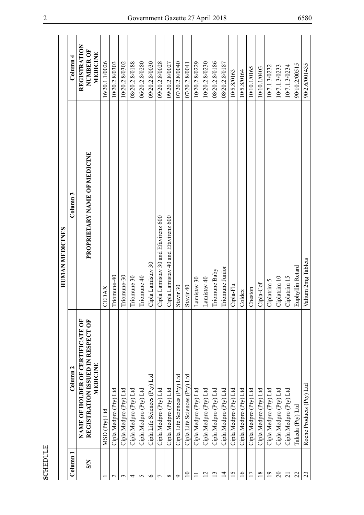| Column 1<br><b>SN</b><br>$\circ$<br>$\mathbf 2$<br>$\epsilon$<br>5<br>${}^{\circ}$<br>Ò<br>4<br>Γ |                                                                                   | HUMAN MEDICINES                     |                                       |
|---------------------------------------------------------------------------------------------------|-----------------------------------------------------------------------------------|-------------------------------------|---------------------------------------|
|                                                                                                   | Column <sub>2</sub>                                                               | Column <sub>3</sub>                 | Column <sub>4</sub>                   |
|                                                                                                   | NAME OF HOLDER OF CERTIFICATE OF<br>REGISTRATION ISSUED IN RESPECT OF<br>MEDICINE | PROPRIETARY NAME OF MEDICINE        | REGISTRATION<br>NUMBER OF<br>MEDICINE |
|                                                                                                   | MSD (Pty) Ltd                                                                     | EDAX<br>◡                           | 16/20.1.1/0026                        |
|                                                                                                   | Cipla Medpro (Pty) Ltd                                                            | Triomune-40                         | 10/20.2.8/0303                        |
|                                                                                                   | Cipla Medpro (Pty) Ltd                                                            | Triomune-30                         | 10/20.2.8/0302                        |
|                                                                                                   | Cipla Medpro (Pty) Ltd                                                            | Triomune 30                         | 08/20.2.8/0188                        |
|                                                                                                   | Cipla Medpro (Pty) Ltd                                                            | Triomune 40                         | 06/20.2.8/0280                        |
|                                                                                                   | Cipla Life Sciences (Pty) Ltd                                                     | Cipla Lamistav 30                   | 09/20.2.8/0030                        |
|                                                                                                   | Cipla Medpro (Pty) Ltd                                                            | Cipla Lamistav 30 and Efavirenz 600 | 09/20.2.8/0028                        |
|                                                                                                   | Cipla Medpro (Pty) Ltd                                                            | Cipla Lamistav 40 and Efavirenz 600 | 09/20.2.8/0027                        |
|                                                                                                   | Cipla Life Sciences (Pty) Ltd                                                     | Stavir 30                           | 07/20.2.8/0040                        |
| $\overline{10}$                                                                                   | Cipla Life Sciences (Pty) Ltd                                                     | Stavir 40                           | 07/20.2.8/0041                        |
| $\Xi$                                                                                             | Cipla Medpro (Pty) Ltd                                                            | Lamistav 30                         | 10/20.2.8/0229                        |
| 12                                                                                                | Cipla Medpro (Pty) Ltd                                                            | Lamistav <sub>40</sub>              | 10/20.2.8/0230                        |
| 13                                                                                                | Cipla Medpro (Pty) Ltd                                                            | Triomune Baby                       | 08/20.2.8/0186                        |
| $\overline{4}$                                                                                    | Cipla Medpro (Pty) Ltd                                                            | Triomune Junior                     | 08/20.2.8/0187                        |
| 15                                                                                                | Cipla Medpro (Pty) Ltd                                                            | Cipla-Flu                           | 10/5.8/0163                           |
| $\frac{6}{2}$                                                                                     | Cipla Medpro (Pty) Ltd                                                            | Coldex                              | 10/5.8/0164                           |
| 17                                                                                                | Cipla Medpro (Pty) Ltd                                                            | Cheston                             | 10/10.1/0165                          |
| 18                                                                                                | Cipla Medpro (Pty) Ltd                                                            | Cipla-Cof                           | 10/10.1/0403                          |
| 19                                                                                                | Cipla Medpro (Pty) Ltd                                                            | Ciplatrim 5                         | 10/7.1.3/0232                         |
| $\Omega$                                                                                          | Cipla Medpro (Pty) Ltd                                                            | Ciplatrim 10                        | 10/7.1.3/0233                         |
| $\overline{2}$                                                                                    | Cipla Medpro (Pty) Ltd                                                            | Ciplatrim 15                        | 10/7.1.3/0234                         |
| 22                                                                                                | Takeda (Pty) Ltd                                                                  | Euphyllin Retard                    | 90/10.2/00515                         |
| 23                                                                                                | Roche Products (Pty) Ltd                                                          | Valium 2mg Tablets                  | 90/2.6/001435                         |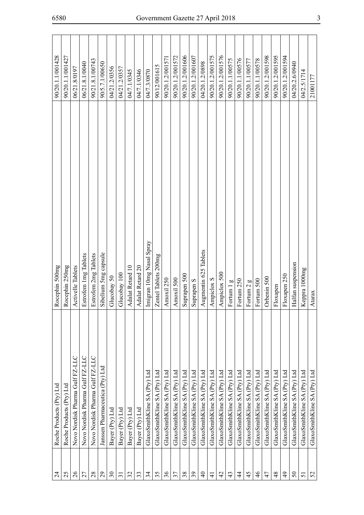| $\overline{24}$          | Roche Products (Pty) Ltd        | Rocephin 500mg           | 90/20.1.1/001428 |
|--------------------------|---------------------------------|--------------------------|------------------|
| 25                       | Roche Products (Pty) Ltd        | Rocephin 250mg           | 90/20.1.1/001427 |
| $\mathfrak{Z}6$          | Novo Nordisk Pharma Gulf FZ-LLC | Activelle Tablets        | 06/21.8/0197     |
| 27                       | Novo Nordisk Pharma Gulf FZ-LLC | Estrofem 1mg Tablets     | 06/21.8.1/0040   |
| 28                       | Novo Nordisk Pharma Gulf FZ-LLC | Estrofem 2mg Tablets     | 90/21.8.1/00743  |
| 29                       | Janssen Pharmaceutica (Pty) Ltd | Sibelium 5mg capsule     | 90/5.7.1/00650   |
| $\overline{\mathcal{E}}$ | Bayer (Pty) Ltd                 | Glucobay 50              | 04/21.2/0356     |
| $\overline{31}$          | Bayer (Pty) Ltd                 | Glucobay 100             | 04/21.2/0357     |
| 32                       | Bayer (Pty) Ltd                 | Adalat Retard 10         | 04/7.1/0345      |
| 33                       | Bayer (Pty) Ltd                 | Adalat Retard 20         | 04/7.1/0346      |
| $\mathfrak{z}$           | GlaxoSmithKline SA (Pty) Ltd    | Imigran 10mg Nasal Spray | 04/7.3/0870      |
| 35                       | GlaxoSmithKline SA (Pty) Ltd    | Zentel Tablets 200mg     | 90/12/001615     |
| 36                       | GlaxoSmithKline SA (Pty) Ltd    | Amoxil 250               | 90/20.1.2/001571 |
| 37                       | GlaxoSmithKline SA (Pty) Ltd    | Amoxil 500               | 90/20.1.2/001572 |
| 38                       | GlaxoSmithKline SA (Pty) Ltd    | Suprapen 500             | 90/20.1.2/001606 |
| $\mathfrak{L}$           | GlaxoSmithKline SA (Pty) Ltd    | Suprapen <sub>S</sub>    | 90/20.1.2/001607 |
| $\Theta$                 | GlaxoSmithKline SA (Pty) Ltd    | Augmentin 625 Tablets    | 04/20.1.2/0898   |
| $\overline{4}$           | GlaxoSmithKline SA (Pty) Ltd    | Ampiclox S               | 90/20.1.2/001575 |
| $\overline{4}$           | GlaxoSmithKline SA (Pty) Ltd    | Ampiclox 500             | 90/20.1.2/001576 |
| 43                       | GlaxoSmithKline SA (Pty) Ltd    | Fortum 1 g               | 90/20.1.1/00575  |
| 4                        | GlaxoSmithKline SA (Pty) Ltd    | Fortum 250               | 90/20.1.1/00576  |
| $\overline{5}$           | GlaxoSmithKline SA (Pty) Ltd    | Fortum 2 g               | 90/20.1.1/00577  |
| $\frac{4}{6}$            | GlaxoSmithKline SA (Pty) Ltd    | Fortum 500               | 90/20.1.1/00578  |
| 47                       | GlaxoSmithKline SA (Pty) Ltd    | Orbenin 500              | 90/20.1.2/001598 |
| 48                       | GlaxoSmithKline SA (Pty) Ltd    | Floxapen                 | 90/20.1.2/001595 |
| $\overline{6}$           | GlaxoSmithKline SA (Pty) Ltd    | Floxapen 250             | 90/20.1.2/001594 |
| $50\,$                   | GlaxoSmithKline SA (Pty) Ltd    | Halfan suspension        | 04/20.2.6/0940   |
| 51                       | GlaxoSmithKline SA (Pty) Ltd    | Keppra 1000mg            | 04/2.5/1714      |
| 52                       | GlaxoSmithKline SA (Pty) Ltd    | Atarax                   | 21001177         |
|                          |                                 |                          |                  |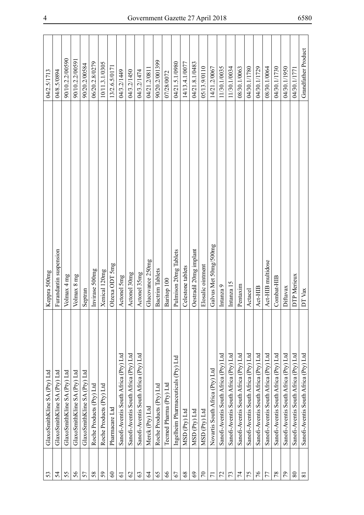| 53             | GlaxoSmithKline SA (Pty) Ltd          | Keppra 500mg           | 04/2.5/1713         |
|----------------|---------------------------------------|------------------------|---------------------|
| 54             | GlaxoSmithKline SA (Pty) Ltd          | Furandantin suspension | 04/8.5/0894         |
| 55             | GlaxoSmithKline SA (Pty) Ltd          | Volmax 4 mg            | 90/10.2.2/00590     |
| 56             | GlaxoSmithKline SA (Pty) Ltd          | Volmax 8 mg            | 90/10.2.2/00591     |
| 57             | GlaxoSmithKline SA (Pty) Ltd          | Septran                | 90/20.2/00584       |
| 58             | Roche Products (Pty) Ltd              | Invirase 500mg         | 06/20.2.8/0279      |
| 59             | Roche Products (Pty) Ltd              | Xenical 120mg          | 10/11.3.1/0305      |
| $\infty$       | Pharmacare Ltd                        | Olzexa ODT 5mg         | 13/2.6.5/0171       |
| $\overline{6}$ | Sanofi-Aventis South Africa (Pty) Ltd | Actonel 5mg            | 04/3.2/1449         |
| $\mathcal{O}$  | Sanofi-Aventis South Africa (Pty) Ltd | Actonel 30mg           | 04/3.2/1450         |
| 63             | Sanofi-Aventis South Africa (Pty) Ltd | Actonel 35mg           | 04/3.2/1474         |
| 2              | Merck (Pty) Ltd                       | Glucovance 250mg       | 04/21.2/0811        |
| 65             | Roche Products (Pty) Ltd              | Bactrim Tablets        | 90/20.2/001399      |
| 66             | Tecmed Pharma (Pty) Ltd               | Baritop 100            | 07/28/0072          |
| 67             | Ingelheim Pharmaceuticals (Pty) Ltd   | Pulmison 20mg Tablets  | 04/21.5.1/0980      |
| $68\,$         | MSD (Pty) Ltd                         | Celestone tablets      | 14/13.4.1/0077      |
| 69             | MSD (Pty) Ltd                         | Oestradil 20mg implant | 04/21.8.1/0483      |
| $\mathcal{L}$  | MSD (Pty) Ltd                         | Elosalic ointment      | 05/13.9/0110        |
| $\overline{7}$ | Novartis South Africa (Pty) Ltd       | Galvus Met 50mg/500mg  | 14/21.2/0067        |
| 72             | Sanofi-Aventis South Africa (Pty) Ltd | Intanza 9              | 11/30.1/0035        |
| 73             | Sanofi-Aventis South Africa (Pty) Ltd | Intanza 15             | 11/30.1/0034        |
| 74             | Sanofi-Aventis South Africa (Pty) Ltd | Pentaxim               | 08/30.1/0063        |
| 75             | Sanofi-Aventis South Africa (Pty) Ltd | Actacel                | 04/30.1/1780        |
| 94             | Sanofi-Aventis South Africa (Pty) Ltd | Act-HIB                | 04/30.1/1729        |
| 77             | Sanofi-Aventis South Africa (Pty) Ltd | Act-HIB multidose      | 08/30.1/0064        |
| 78             | Sanofi-Aventis South Africa (Pty) Ltd | Combat-HIB             | 04/30.1/1730        |
| 56             | Sanofi-Aventis South Africa (Pty) Ltd | Diftavax               | 04/30.1/1950        |
| $80\,$         | Sanofi-Aventis South Africa (Pty) Ltd | DTP Merieux            | 04/30.1/1771        |
| $\overline{8}$ | Sanofi-Aventis South Africa (Pty) Ltd | DT Vax                 | Grandfather Product |
|                |                                       |                        |                     |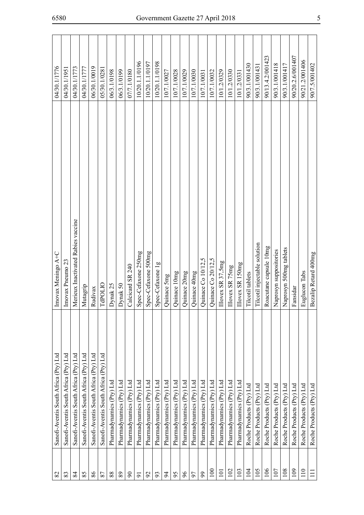| 82             | Sanofi-Aventis South Africa (Pty) Ltd | Imovax Meningo A+C                 | 04/30.1/1776     |
|----------------|---------------------------------------|------------------------------------|------------------|
| 83             | Sanofi-Aventis South Africa (Pty) Ltd | Imovax Pneumo 23                   | 04/30.1/1951     |
| 84             | Sanofi-Aventis South Africa (Pty) Ltd | Merieux Inactivated Rabies vaccine | 04/30.1/1773     |
| 85             | Sanofi-Aventis South Africa (Pty) Ltd | Mutagrip                           | 04/30.1/1777     |
| 86             | Sanofi-Aventis South Africa (Pty) Ltd | Rudivax                            | 06/30.1/0019     |
| 87             | Sanofi-Aventis South Africa (Pty) Ltd | <b>TdPOLIO</b>                     | 05/30.1/0281     |
| 88             | Pharmadynamics (Pty) Ltd              | Dynak 25                           | 06/3.1/0198      |
| 89             | Pharmadynamics (Pty) Ltd              | Dynak 50                           | 06/3.1/0199      |
| $\infty$       | Pharmadynamics (Pty) Ltd              | Calcicard SR 240                   | 07/7.1/0180      |
| $\overline{5}$ | Pharmadynamics (Pty) Ltd              | Spec-Cefaxone 250mg                | 10/20.1.1/0196   |
| $\mathcal{S}$  | Pharmadynamics (Pty) Ltd              | Spec-Cefaxone 500mg                | 10/20.1.1/0197   |
| 93             | Pharmadynamics (Pty) Ltd              | Spec-Cefaxone 1g                   | 10/20.1.1/0198   |
| 54             | Pharmadynamics (Pty) Ltd              | Quinace 5mg                        | 10/7.1/0027      |
| 95             | Pharmadynamics (Pty) Ltd              | Quinace 10mg                       | 10/7.1/0028      |
| $\delta$       | Pharmadynamics (Pty) Ltd              | Quinace 20mg                       | 10/7.1/0029      |
| 57             | Pharmadynamics (Pty) Ltd              | Quinace 40mg                       | 10/7.1/0030      |
| 99             | Pharmadynamics (Pty) Ltd              | Quinace Co 10/12,5                 | 10/7.1/0031      |
| 100            | Pharmadynamics (Pty) Ltd              | Quinace Co 20/12,5                 | 10/7.1/0032      |
| 101            | Pharmadynamics (Pty) Ltd              | Illovex SR 37,5mg                  | 10/1.2/0329      |
| 102            | Pharmadynamics (Pty) Ltd              | Illovex SR 75mg                    | 10/1.2/0330      |
| 103            | Pharmadynamics (Pty) Ltd              | Illovex SR 150mg                   | 10/1.2/0331      |
| 104            | Roche Products (Pty) Ltd              | Tilcotil tablets                   | 90/3.1/001430    |
| 105            | Roche Products (Pty) Ltd              | Tilcotil injectable solution       | 90/3.1/00143     |
| 106            | Roche Products (Pty) Ltd              | Roacutane capsule 10mg             | 90/13.4.2/001423 |
| 107            | Roche Products (Pty) Ltd              | Naprosyn suppositories             | 90/3.1/001418    |
| 108            | Roche Products (Pty) Ltd              | Naprosyn 500mg tablets             | 90/3.1/001417    |
| 109            | Roche Products (Pty) Ltd              | Fansidar                           | 90/20.2.6/001407 |
| 110            | Roche Products (Pty) Ltd              | Euglucon Tabs                      | 90/21.2/001406   |
| $\Xi$          | Roche Products (Pty) Ltd              | Bezalip Retard 400mg               | 90/7.5/001402    |
|                |                                       |                                    |                  |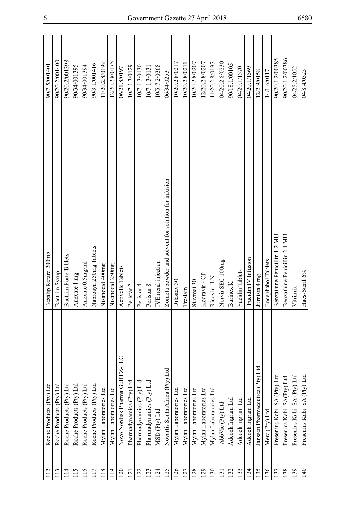| 112           | Roche Products (Pty) Ltd        | Bezalip Retard 200mg                                | 90/7.5/001401   |
|---------------|---------------------------------|-----------------------------------------------------|-----------------|
| 113           | Roche Products (Pty) Ltd        | Bactrim Syrup                                       | 90/20.2/001400  |
| $\frac{1}{4}$ | Roche Products (Pty) Ltd        | Bactrim Forte Tablets                               | 90/20.2/001398  |
| 15            | Roche Products (Pty) Ltd        | Anexate 1 mg                                        | 90/34/001395    |
| 116           | Roche Products (Pty) Ltd        | Anexate 0.5mg/ml                                    | 90/34/001394    |
| 117           | Roche Products (Pty) Ltd        | Naprosyn 250mg Tablets                              | 90/3.1/001416   |
| 118           | Mylan Laboratories Ltd          | Nisanodid 400mg                                     | 11/20.2.8/0199  |
| 119           | Mylan Laboratories Ltd          | Nisanodid 250mg                                     | 12/20.2.8/0175  |
| 120           | Novo Nordisk Pharma Gulf FZ-LLC | Activelle Tablets                                   | 06/21.8/0197    |
| 121           | Pharmadynamics (Pty) Ltd        | Peristar 2                                          | 10/7.1.3/0129   |
| 122           | Pharmadynamics (Pty) Ltd        | Peristar 4                                          | 10/7.1.3/0130   |
| 123           | Pharmadynamics (Pty) Ltd        | Peristar 8                                          | 10/7.1.3/0131   |
| 124           | MSD (Pty) Ltd                   | IVEmend injection                                   | 10/5.7.2/0368   |
| 125           | Novartis South Africa (Pty) Ltd | Zometa powder and solvent for solution for infusion | 06/34/0253      |
| 126           | Mylan Laboratories Ltd          | Dilastav 30                                         | 10/20.2.8/0217  |
| 127           | Mylan Laboratories Ltd          | Treslam                                             | 10/20.2.8/0211  |
| 128           | Mylan Laboratories Ltd          | Stavmat 30                                          | 10/20.2.8/0207  |
| 129           | Mylan Laboratories Ltd          | Kodravir - CP                                       | 12/20.2.8/0207  |
| 130           | Mylan Laboratories Ltd          | Ricovir - LN                                        | 11/20.2.8/0197  |
| 131           | AbbVie (Pty) Ltd                | Norvir SEC 100mg                                    | 04/20.2.8/0230  |
| 132           | Adcock Ingram Ltd               | Burinex K                                           | 90/18.1/00105   |
| 133           | Adcock Ingram Ltd               | Fucidin Tablets                                     | 04/20.1/1570    |
| 134           | Adcock Ingram Ltd               | Fucidin IV Infusion                                 | 04/20.1/1569    |
| 135           | Janssen Pharmaceutica (Pty) Ltd | Jurnista 4 mg                                       | 12/2.9/0158     |
| 136           | Merc (Pty) Ltd                  | Encephabol Tablets                                  | 14/1.6/0117     |
| 137           | Fresenius Kabi SA (Pty) Ltd     | Benzathine Penicillin 1.2 MU                        | 90/20.1.2/00385 |
| 138           | Fresenius Kabi SA(Pty) Ltd      | Benzathine Penicillin 2.4 MU                        | 90/20.1.2/00386 |
| 139           | Fresenius Kabi SA (Pty) Ltd     | Vitrimix                                            | 04/25.2/1052    |
| 140           | Fresenius Kabi SA (Pty) Ltd     | Haes-Steril 6%                                      | 04/8.4/0325     |
|               |                                 |                                                     |                 |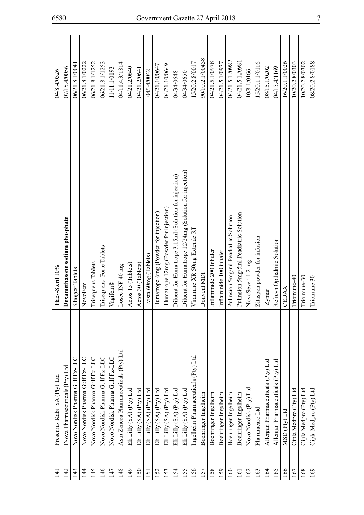| $\overline{141}$ | Fresenius Kabi SA (Pty) Ltd           | Haes-Steril 10%                                        | 04/8.4/0326     |
|------------------|---------------------------------------|--------------------------------------------------------|-----------------|
| 142              | Nova Pharmaceuticals (Pty) Ltd        | Dexamethasone sodium phosphate                         | 07/15.4/0056    |
| 143              | Novo Nordisk Pharma Gulf Fz-LLC       | Kliogest Tablets                                       | 06/21.8.1/0041  |
| $\overline{14}$  | Novo Nordisk Pharma Gulf Fz-LLC       | NovoFem                                                | 06/21.8.1/0222  |
| 145              | Novo Nordisk Pharma Gulf Fz-LLC       | Trisequens Tablets                                     | 06/21.8.1/1252  |
| 146              | Novo Nordisk Pharma Gulf Fz-LLC       | Trisequens Forte Tablets                               | 06/21.8.1/1253  |
| 147              | Novo Nordisk Pharma Gulf Fz-LLC       | Vagifem®                                               | 11/11.1/0193    |
| 148              | AstraZeneca Pharmaceuticals (Pty) Ltd | Losec INF 40 mg                                        | 04/11.4.3/1814  |
| 149              | Eli Lilly (SA) (Pty) Ltd              | Actos 15 (Tablets)                                     | 04/21.2/0640    |
| 150              | Eli Lilly (SA) (Pty) Ltd              | Actos 30 (Tablets)                                     | 04/21.2/0641    |
| 151              | Eli Lilly (SA) (Pty) Ltd              | Evista 60mg (Tablets)                                  | 04/34/0042      |
| 152              | Eli Lilly (SA) (Pty) Ltd              | Humatrope 6mg (Powder for injection)                   | 04/21.10/0647   |
| 153              | Eli Lilly (SA) (Pty) Ltd              | Humatrope 12mg (Powder for injection)                  | 04/21.10/0649   |
| 154              | Eli Lilly (SA) (Pty) Ltd              | Diluent for Humatrope 3.15ml (Solution for injection)  | 04/34/0648      |
| 155              | Eli Lilly (SA) (Pty) Ltd              | Diluent for Humatrope 12/24mg (Solution for injection) | 04/34/0650      |
| 156              | Ingelheim Pharmaceuticals (Pty) Ltd   | Viramune XR 50mg Extende RT                            | 15/20.2.8/0017  |
| 157              | Boehringer Ingelheim                  | Douvent MDI                                            | 90/10.2.1/00458 |
| 158              | Boehringer Ingelheim                  | Inflammide 200 Inhaler                                 | 04/21.5.1/0978  |
| 159              | Boehringer Ingelheim                  | Inflammide 100 inhaler                                 | 04/21.5.1/0977  |
| 160              | Boehringer Ingelheim                  | Pulmsion 5mg/ml Peadiatric Solution                    | 04/21.5.1./0982 |
| $\overline{5}$   | Boehringer Ingelheim                  | Pulmsion 5mg/5ml Peadiatric Solution                   | 04/21.5.1./0981 |
| 162              | Novo Nordisk (Pty) Ltd                | NovoSeven 1.2 mg                                       | 10/8.1/0166     |
| 163              | Pharmacare Ltd                        | Zitaspen powder for infusion                           | 15/20.1.1/0116  |
| 164              | Allergan Pharmaceuticals (Pty) Ltd    | Zymar                                                  | 08/15.1/0202    |
| 165              | Allergan Pharmaceuticals (Pty) Ltd    | Refresh Opthalmic Solution                             | 04/15.4/1169    |
| 166              | MSD (Ptv) Ltd                         | CEDAX                                                  | 16/20.1.1/0026  |
| 167              | Cipla Medpro (Pty) Ltd                | Triomune-40                                            | 10/20.2.8/0303  |
| 168              | Cipla Medpro (Pty) Ltd                | Triomune-30                                            | 10/20.2.8/0302  |
| 169              | Cipla Medpro (Pty) Ltd                | Triomune 30                                            | 08/20.2.8/0188  |
|                  |                                       |                                                        |                 |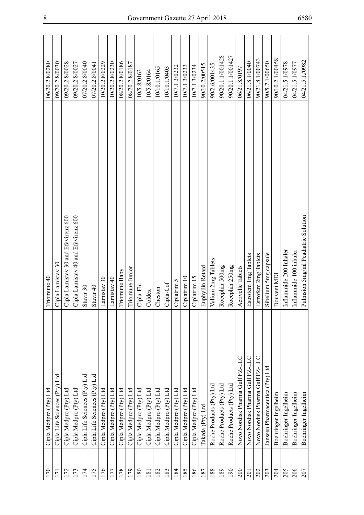| 170 | Cipla Medpro (Pty) Ltd          | Triomune 40                         | 06/20.2.8/0280   |
|-----|---------------------------------|-------------------------------------|------------------|
| 171 | Cipla Life Sciences (Pty) Ltd   | Cipla Lamistav 30                   | 09/20.2.8/0030   |
| 172 | Cipla Medpro (Pty) Ltd          | Cipla Lamistav 30 and Efavirenz 600 | 09/20.2.8/0028   |
| 173 | Cipla Medpro (Pty) Ltd          | Cipla Lamistav 40 and Efavirenz 600 | 09/20.2.8/0027   |
| 174 | Cipla Life Sciences (Pty) Ltd   | Stavir 30                           | 07/20.2.8/0040   |
| 175 | Cipla Life Sciences (Pty) Ltd   | Stavir <sub>40</sub>                | 07/20.2.8/0041   |
| 176 | Cipla Medpro (Pty) Ltd          | Lamistav 30                         | 10/20.2.8/0229   |
| 177 | Cipla Medpro (Pty) Ltd          | Lamistav 40                         | 10/20.2.8/0230   |
| 178 | Cipla Medpro (Pty) Ltd          | Triomune Baby                       | 08/20.2.8/0186   |
| 179 | Cipla Medpro (Pty) Ltd          | Triomune Junior                     | 08/20.2.8/0187   |
| 180 | Cipla Medpro (Pty) Ltd          | Cipla-Flu                           | 10/5.8/0163      |
| 181 | Cipla Medpro (Pty) Ltd          | Coldex                              | 10/5.8/0164      |
| 182 | Cipla Medpro (Pty) Ltd          | Cheston                             | 10/10.1/0165     |
| 183 | Cipla Medpro (Pty) Ltd          | Cipla-Cof                           | 10/10.1/0403     |
| 184 | Cipla Medpro (Pty) Ltd          | Ciplatrim 5                         | 10/7.1.3/0232    |
| 185 | Cipla Medpro (Pty) Ltd          | Ciplatrim 10                        | 10/7.1.3/0233    |
| 186 | Cipla Medpro (Pty) Ltd          | Ciplatrim 15                        | 10/7.1.3/0234    |
| 187 | Takeda (Pty) Ltd                | Euphyllin Retard                    | 90/10.2/00515    |
| 188 | Roche Products (Pty) Ltd        | Valium 2mg Tablets                  | 90/2.6/001435    |
| 189 | Roche Products (Pty) Ltd        | Rocephin 500mg                      | 90/20.1.1/001428 |
| 190 | Roche Products (Pty) Ltd        | Rocephin 250mg                      | 90/20.1.1/001427 |
| 200 | Novo Nordisk Pharma Gulf FZ-LLC | Activelle Tablets                   | 06/21.8/0197     |
| 201 | Novo Nordisk Pharma Gulf FZ-LLC | Estrofem 1mg Tablets                | 06/21.8.1/0040   |
| 202 | Novo Nordisk Pharma Gulf FZ-LLC | Estrofem 2mg Tablets                | 90/21.8.1/00743  |
| 203 | Janssen Pharmaceutica (Pty) Ltd | Sibelium 5mg capsule                | 90/5.7.1/00650   |
| 204 | Boehringer Ingelheim            | Douvent MDI                         | 90/10.2.1/00458  |
| 205 | Boehringer Ingelheim            | Inflammide 200 Inhaler              | 04/21.5.1/0978   |
| 206 | Boehringer Ingelheim            | Inflammide 100 inhaler              | 04/21.5.1/0977   |
| 207 | Boehringer Ingelheim            | Pulmsion 5mg/ml Peadiatric Solution | 04/21.5.1./0982  |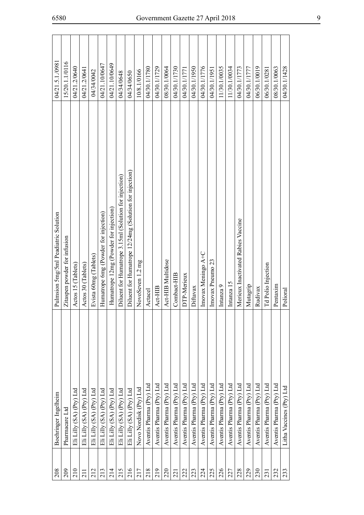| 208              | Boehringer Ingelheim     | Pulmsion 5mg/5ml Peadiatric Solution                   | 04/21.5.1./0981 |
|------------------|--------------------------|--------------------------------------------------------|-----------------|
| 209              | Pharmacare Ltd           | Zitaspen powder for infusion                           | 15/20.1.1/0116  |
| 210              | Eli Lilly (SA) (Pty) Ltd | Actos 15 (Tablets)                                     | 04/21.2/0640    |
| $\overline{211}$ | Eli Lilly (SA) (Pty) Ltd | Actos 30 (Tablets)                                     | 04/21.2/0641    |
| 212              | Eli Lilly (SA) (Pty) Ltd | Evista 60mg (Tablets)                                  | 04/34/0042      |
| 213              | Eli Lilly (SA) (Pty) Ltd | Humatrope 6mg (Powder for injection)                   | 04/21.10/0647   |
| 214              | Eli Lilly (SA) (Pty) Ltd | Humatrope 12mg (Powder for injection)                  | 04/21.10/0649   |
| 215              | Eli Lilly (SA) (Pty) Ltd | Diluent for Humatrope 3.15ml (Solution for injection)  | 04/34/0648      |
| 216              | Eli Lilly (SA) (Pty) Ltd | Diluent for Humatrope 12/24mg (Solution for injection) | 04/34/0650      |
| 217              | Novo Nordisk (Pty) Ltd   | NovoSeven 1.2 mg                                       | 10/8.1/0166     |
| 218              | Aventis Pharma (Pty) Ltd | Actacel                                                | 04/30.1/1780    |
| 219              | Aventis Pharma (Pty) Ltd | Act-HIB                                                | 04/30.1/1729    |
| 220              | Aventis Pharma (Pty) Ltd | Act-HIB Multidose                                      | 08/30.1/0064    |
| 221              | Aventis Pharma (Pty) Ltd | Combact-HIB                                            | 04/30.1/1730    |
| 222              | Aventis Pharma (Pty) Ltd | DTP-Merieux                                            | 04/30.1/1771    |
| 223              | Aventis Pharma (Pty) Ltd | Diftavax                                               | 04/30.1/1950    |
| 224              | Aventis Pharma (Pty) Ltd | Imovax Meningo A+C                                     | 04/30.1/1776    |
| 225              | Aventis Pharma (Pty) Ltd | Imovax Pneumo 23                                       | 04/30.1/1951    |
| 226              | Aventis Pharma (Pty) Ltd | Intanza 9                                              | 11/30.1/0035    |
| 227              | Aventis Pharma (Pty) Ltd | Intanza 15                                             | 11/30.1/0034    |
| 228              | Aventis Pharma (Pty) Ltd | Merieux Inactivated Rabies Vaccine                     | 04/30.1/1773    |
| 229              | Aventis Pharma (Pty) Ltd | Mutagrip                                               | 04/30.1/1777    |
| 230              | Aventis Pharma (Pty) Ltd | Rudivax                                                | 06/30.1/0019    |
| 231              | Aventis Pharma (Pty) Ltd | Td Polio Injection                                     | 06/30.1/0281    |
| 232              | Aventis Pharma (Pty) Ltd | Pentaxim                                               | 08/30.1/0063    |
| 233              | Litha Vaccines (Pty) Ltd | Polioral                                               | 04/30.1/1428    |
|                  |                          |                                                        |                 |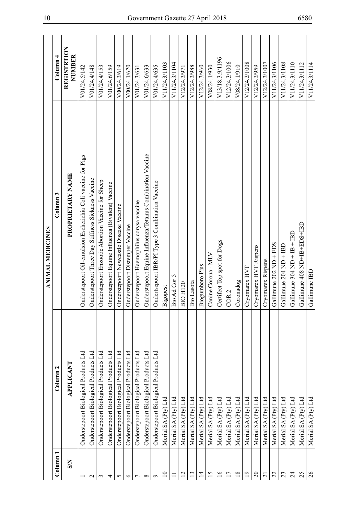|                 |                                              | <b>ANIMAL MEDICINES</b>                                      |                              |
|-----------------|----------------------------------------------|--------------------------------------------------------------|------------------------------|
| Column 1        | Column <sub>2</sub>                          | Column <sub>3</sub>                                          | Column <sub>4</sub>          |
| $\mathbf{S}$    | APPLICANT                                    | <b>PROPRIETARY NAME</b>                                      | <b>REGISTRTION</b><br>NUMBER |
|                 | Onderstepoort Biological Products Ltd        | Onderstepoort Oil-emulsion Escherichia Coli vaccine for Pigs | V01/24.5/142                 |
| $\mathbf{C}$    | <b>Onderstepoort Biological Products Ltd</b> | Onderstepoort Three Day Stiffness Sickness Vaccine           | V01/24.4/148                 |
| 3               | Onderstepoort Biological Products Ltd        | Onderstepoort Enzootic Abortion Vaccine for Sheep            | V01/24.4/153                 |
| 4               | Onderstepoort Biological Products Ltd        | Onderstepoort Equine Influenza (Bivalent) Vaccine            | V01/24.6/159                 |
| 5               | Onderstepoort Biological Products Ltd        | Onderstepoort Newcastle Disease Vaccine                      | V00/24.3/619                 |
| $\circ$         | Onderstepoort Biological Products Ltd        | Onderstepoort Distemper Vaccine                              | V00/24.1/620                 |
| ↽               | Onderstepoort Biological Products Ltd        | Onderstepoort Haemophilus corysa vaccine                     | V01/24.3/631                 |
| $\infty$        | Onderstepoort Biological Products Ltd        | Onderstepoort Equine Influenza/Tetanus Combination Vaccine   | V01/24.6/633                 |
| Ó               | Onderstepoort Biological Products Ltd        | Ondertsepoort IBR/PI Type 3 Combination Vaccine              | V01/24.4/635                 |
| $\overline{10}$ | Merial SA (Pty) Ltd                          | Bigopest                                                     | V11/24.3/1103                |
| Ξ               | Merial SA (Pty) Ltd                          | Bio Ad Cor 3                                                 | V11/24.3/1104                |
| $\overline{2}$  | Merial SA (Pty) Ltd                          | <b>BIO H120</b>                                              | V12/24.3/971                 |
| 13              | Merial SA (Pty) Ltd                          | Bio Lasota                                                   | V12/24.3/988                 |
| $\overline{1}$  | Merial SA (Pty) Ltd                          | Biogumboro Plus                                              | V12/24.3/960                 |
| 15              | Merial SA (Pty) Ltd                          | Canine Corona - MLV                                          | V08/24.1/930                 |
| $\overline{16}$ | Merial SA (Pty) Ltd                          | Certifect Top spot for Dogs                                  | V13/18.3.9/1196              |
| 17              | Merial SA (Pty) Ltd                          | COR <sub>2</sub>                                             | V12/24.3/1006                |
| $18\,$          | Merial SA (Pty) Ltd                          | Coronadog                                                    | V08/24.1/910                 |
| $\overline{19}$ | Merial SA (Pty) Ltd                          | Cryomarex HVT                                                | V12/24.3/1008                |
| $\Omega$        | Merial SA (Pty) Ltd                          | Cryomarex HVT Rispens                                        | V12/24.3/959                 |
| $\overline{21}$ | Merial SA (Pty) Ltd                          | Cryomarex Rispens                                            | V12/24.3/1007                |
| 22              | Merial SA (Pty) Ltd                          | Gallimune 202 ND + EDS                                       | V11/24.3/1106                |
| 23              | Merial SA (Pty) Ltd                          | Gallimune 204 ND + IBD                                       | V11/24.3/1108                |
| $\overline{24}$ | Merial SA (Pty) Ltd                          | Gallimune $304$ ND $+$ IB $+$ IBD                            | V11/24.3/1110                |
| 25              | Merial SA (Pty) Ltd                          | Gallimune 408 ND+IB+EDS+IBD                                  | V11/24.3/1112                |
| $\frac{26}{5}$  | Merial SA (Pty) Ltd                          | Gallimune IBD                                                | V11/24.3/1114                |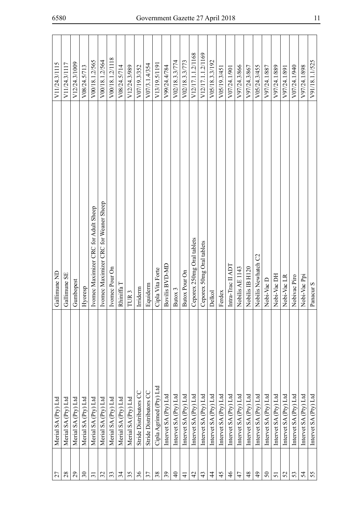| 27              | Merial SA (Pty) Ltd       | Gallimune ND                          | V11/24.3/1115             |
|-----------------|---------------------------|---------------------------------------|---------------------------|
| 28              | Merial SA (Pty) Ltd       | Gallimune SE                          | V11/24.3/1117             |
| 29              | Merial SA (Pty) Ltd       | Gumbopest                             | V12/24.3/1009             |
| $\mathfrak{S}$  | Merial SA (Pty) Ltd       | Hyoresp                               | V08/24.5/713              |
| $\overline{31}$ | Merial SA (Pty) Ltd       | Ivomec Maximizer CRC for Adult Sheep  | V00/18.1.2/565            |
| 32              | Merial SA (Pty) Ltd       | Ivomec Maximizer CRC for Weaner Sheep | V00/18.1.2/564            |
| 33              | Merial SA (Pty) Ltd       | Ivomec Pour On                        | V00/18.1.2/1118           |
| 34              | Merial SA (Pty) Ltd       | Rhiniffa T                            | V08/24.5/714              |
| 35              | Merial SA (Pty) Ltd       | TUR <sub>3</sub>                      | V12/24.3/989              |
| 36              | Stride Distributors CC    | Irriderm                              | V07/19.3/352              |
| 37              | Stride Distributors CC    | Equiderm                              | V07/3.1.4/354             |
| 38              | Cipla Agrimed (Pty) Ltd   | Cipla Vita Forte                      | V13/19.5/1191             |
| $\mathfrak{L}$  | Intervet $SA$ $(Pry)$ Ltd | Bovilis BVD-MD                        | V99/24.4/784              |
| $\Theta$        | Intervet SA (Pty) Ltd     | Butox 3                               | V02/18.3.3/774            |
| $\pm$           | Intervet SA (Pty) Ltd     | Butox Pour On                         | V02/18.3.3/773            |
| 42              | Intervet SA (Pty) Ltd     | Ceporex 250mg Oral tablets            | V12/17.1.1.2/1168         |
| 43              | Intervet SA (Pty) Ltd     | Ceporex 50mg Oral tablets             | V12/17.1.1.2/1169         |
| 4               | Intervet SA (Pty) Ltd     | Delkol                                | V05/18.3.3/192            |
| 45              | Intervet SA (Pty) Ltd     | Ferdex                                | V <sub>05</sub> /19.3/451 |
| $\frac{4}{6}$   | Intervet SA (Pty) Ltd     | Intra-Trac II ADT                     | V07/24.1/901              |
| 47              | Intervet SA (Pty) Ltd     | Nobilis AE 1143                       | V97/24.3/866              |
| $\frac{8}{3}$   | Intervet SA (Pty) Ltd     | Nobilis IB H120                       | V97/24.3/867              |
| $\frac{1}{2}$   | Intervet SA (Pty) Ltd     | Nobilis Newhatch C2                   | V05/24.3/455              |
| $50\,$          | Intervet SA (Pty) Ltd     | Nobi-Vac D                            | V97/24.1/887              |
| 51              | Intervet SA (Pty) Ltd     | Nobi-Vac DH                           | V97/24.1/889              |
| 52              | Intervet SA (Pty) Ltd     | Nobi-Vac <sub>LR</sub>                | V97/24.1/891              |
| 53              | Intervet SA (Pty) Ltd     | Nobivac Piro                          | V07/24.1/940              |
| 24              | Intervet SA (Pty) Ltd     | Nobi-Vac Ppi                          | V97/24.1/898              |
| 55              | Intervet SA (Pty) Ltd     | Panacur S                             | V91/18.1.1/525            |
|                 |                           |                                       |                           |